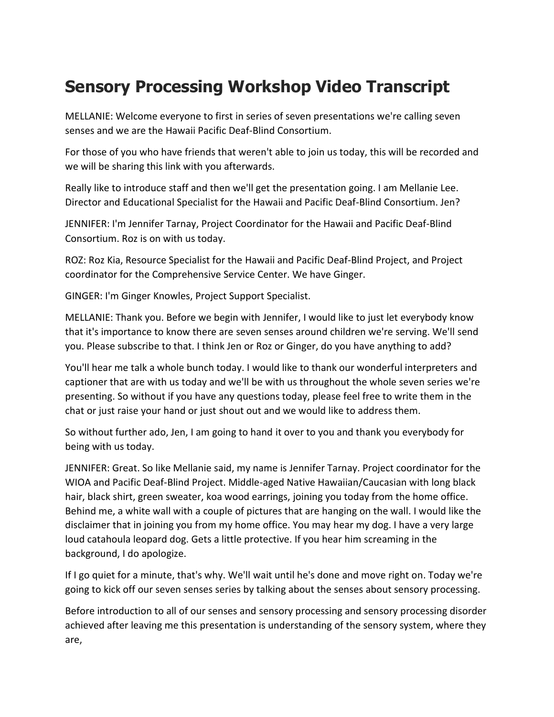## **Sensory Processing Workshop Video Transcript**

MELLANIE: Welcome everyone to first in series of seven presentations we're calling seven senses and we are the Hawaii Pacific Deaf-Blind Consortium.

For those of you who have friends that weren't able to join us today, this will be recorded and we will be sharing this link with you afterwards.

Really like to introduce staff and then we'll get the presentation going. I am Mellanie Lee. Director and Educational Specialist for the Hawaii and Pacific Deaf-Blind Consortium. Jen?

JENNIFER: I'm Jennifer Tarnay, Project Coordinator for the Hawaii and Pacific Deaf-Blind Consortium. Roz is on with us today.

ROZ: Roz Kia, Resource Specialist for the Hawaii and Pacific Deaf-Blind Project, and Project coordinator for the Comprehensive Service Center. We have Ginger.

GINGER: I'm Ginger Knowles, Project Support Specialist.

MELLANIE: Thank you. Before we begin with Jennifer, I would like to just let everybody know that it's importance to know there are seven senses around children we're serving. We'll send you. Please subscribe to that. I think Jen or Roz or Ginger, do you have anything to add?

You'll hear me talk a whole bunch today. I would like to thank our wonderful interpreters and captioner that are with us today and we'll be with us throughout the whole seven series we're presenting. So without if you have any questions today, please feel free to write them in the chat or just raise your hand or just shout out and we would like to address them.

So without further ado, Jen, I am going to hand it over to you and thank you everybody for being with us today.

JENNIFER: Great. So like Mellanie said, my name is Jennifer Tarnay. Project coordinator for the WIOA and Pacific Deaf-Blind Project. Middle-aged Native Hawaiian/Caucasian with long black hair, black shirt, green sweater, koa wood earrings, joining you today from the home office. Behind me, a white wall with a couple of pictures that are hanging on the wall. I would like the disclaimer that in joining you from my home office. You may hear my dog. I have a very large loud catahoula leopard dog. Gets a little protective. If you hear him screaming in the background, I do apologize.

If I go quiet for a minute, that's why. We'll wait until he's done and move right on. Today we're going to kick off our seven senses series by talking about the senses about sensory processing.

Before introduction to all of our senses and sensory processing and sensory processing disorder achieved after leaving me this presentation is understanding of the sensory system, where they are,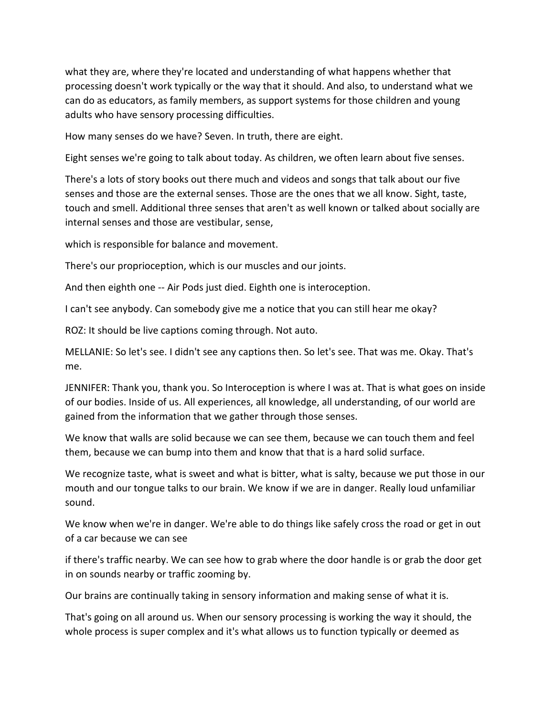what they are, where they're located and understanding of what happens whether that processing doesn't work typically or the way that it should. And also, to understand what we can do as educators, as family members, as support systems for those children and young adults who have sensory processing difficulties.

How many senses do we have? Seven. In truth, there are eight.

Eight senses we're going to talk about today. As children, we often learn about five senses.

There's a lots of story books out there much and videos and songs that talk about our five senses and those are the external senses. Those are the ones that we all know. Sight, taste, touch and smell. Additional three senses that aren't as well known or talked about socially are internal senses and those are vestibular, sense,

which is responsible for balance and movement.

There's our proprioception, which is our muscles and our joints.

And then eighth one -- Air Pods just died. Eighth one is interoception.

I can't see anybody. Can somebody give me a notice that you can still hear me okay?

ROZ: It should be live captions coming through. Not auto.

MELLANIE: So let's see. I didn't see any captions then. So let's see. That was me. Okay. That's me.

JENNIFER: Thank you, thank you. So Interoception is where I was at. That is what goes on inside of our bodies. Inside of us. All experiences, all knowledge, all understanding, of our world are gained from the information that we gather through those senses.

We know that walls are solid because we can see them, because we can touch them and feel them, because we can bump into them and know that that is a hard solid surface.

We recognize taste, what is sweet and what is bitter, what is salty, because we put those in our mouth and our tongue talks to our brain. We know if we are in danger. Really loud unfamiliar sound.

We know when we're in danger. We're able to do things like safely cross the road or get in out of a car because we can see

if there's traffic nearby. We can see how to grab where the door handle is or grab the door get in on sounds nearby or traffic zooming by.

Our brains are continually taking in sensory information and making sense of what it is.

That's going on all around us. When our sensory processing is working the way it should, the whole process is super complex and it's what allows us to function typically or deemed as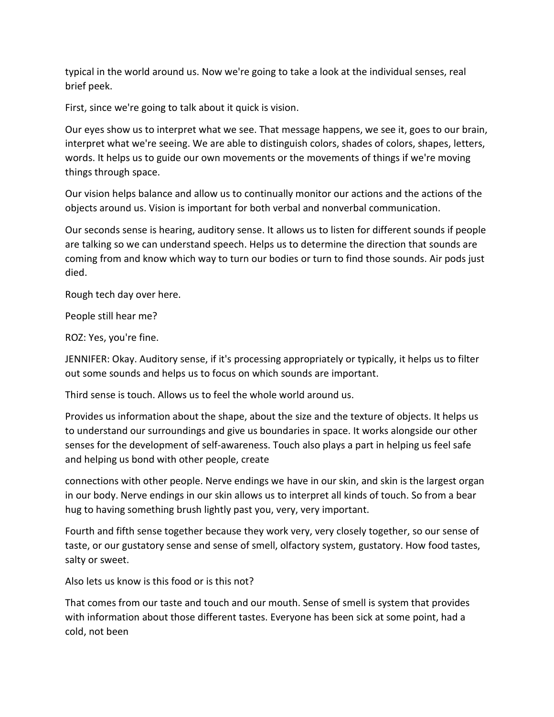typical in the world around us. Now we're going to take a look at the individual senses, real brief peek.

First, since we're going to talk about it quick is vision.

Our eyes show us to interpret what we see. That message happens, we see it, goes to our brain, interpret what we're seeing. We are able to distinguish colors, shades of colors, shapes, letters, words. It helps us to guide our own movements or the movements of things if we're moving things through space.

Our vision helps balance and allow us to continually monitor our actions and the actions of the objects around us. Vision is important for both verbal and nonverbal communication.

Our seconds sense is hearing, auditory sense. It allows us to listen for different sounds if people are talking so we can understand speech. Helps us to determine the direction that sounds are coming from and know which way to turn our bodies or turn to find those sounds. Air pods just died.

Rough tech day over here.

People still hear me?

ROZ: Yes, you're fine.

JENNIFER: Okay. Auditory sense, if it's processing appropriately or typically, it helps us to filter out some sounds and helps us to focus on which sounds are important.

Third sense is touch. Allows us to feel the whole world around us.

Provides us information about the shape, about the size and the texture of objects. It helps us to understand our surroundings and give us boundaries in space. It works alongside our other senses for the development of self-awareness. Touch also plays a part in helping us feel safe and helping us bond with other people, create

connections with other people. Nerve endings we have in our skin, and skin is the largest organ in our body. Nerve endings in our skin allows us to interpret all kinds of touch. So from a bear hug to having something brush lightly past you, very, very important.

Fourth and fifth sense together because they work very, very closely together, so our sense of taste, or our gustatory sense and sense of smell, olfactory system, gustatory. How food tastes, salty or sweet.

Also lets us know is this food or is this not?

That comes from our taste and touch and our mouth. Sense of smell is system that provides with information about those different tastes. Everyone has been sick at some point, had a cold, not been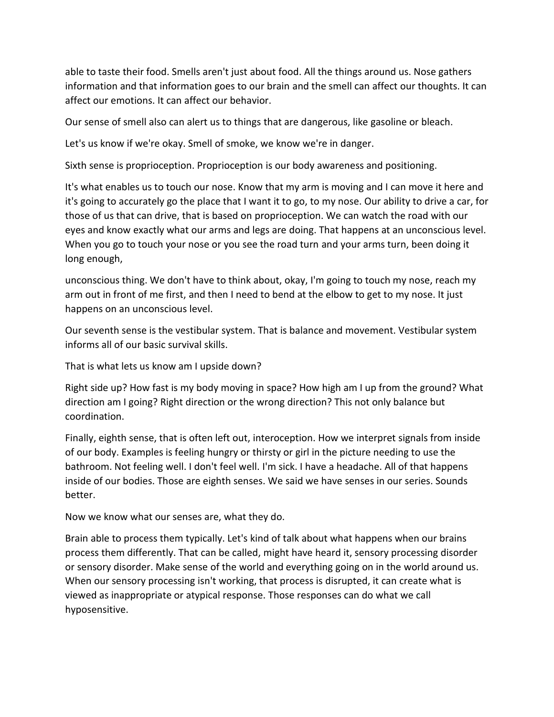able to taste their food. Smells aren't just about food. All the things around us. Nose gathers information and that information goes to our brain and the smell can affect our thoughts. It can affect our emotions. It can affect our behavior.

Our sense of smell also can alert us to things that are dangerous, like gasoline or bleach.

Let's us know if we're okay. Smell of smoke, we know we're in danger.

Sixth sense is proprioception. Proprioception is our body awareness and positioning.

It's what enables us to touch our nose. Know that my arm is moving and I can move it here and it's going to accurately go the place that I want it to go, to my nose. Our ability to drive a car, for those of us that can drive, that is based on proprioception. We can watch the road with our eyes and know exactly what our arms and legs are doing. That happens at an unconscious level. When you go to touch your nose or you see the road turn and your arms turn, been doing it long enough,

unconscious thing. We don't have to think about, okay, I'm going to touch my nose, reach my arm out in front of me first, and then I need to bend at the elbow to get to my nose. It just happens on an unconscious level.

Our seventh sense is the vestibular system. That is balance and movement. Vestibular system informs all of our basic survival skills.

That is what lets us know am I upside down?

Right side up? How fast is my body moving in space? How high am I up from the ground? What direction am I going? Right direction or the wrong direction? This not only balance but coordination.

Finally, eighth sense, that is often left out, interoception. How we interpret signals from inside of our body. Examples is feeling hungry or thirsty or girl in the picture needing to use the bathroom. Not feeling well. I don't feel well. I'm sick. I have a headache. All of that happens inside of our bodies. Those are eighth senses. We said we have senses in our series. Sounds better.

Now we know what our senses are, what they do.

Brain able to process them typically. Let's kind of talk about what happens when our brains process them differently. That can be called, might have heard it, sensory processing disorder or sensory disorder. Make sense of the world and everything going on in the world around us. When our sensory processing isn't working, that process is disrupted, it can create what is viewed as inappropriate or atypical response. Those responses can do what we call hyposensitive.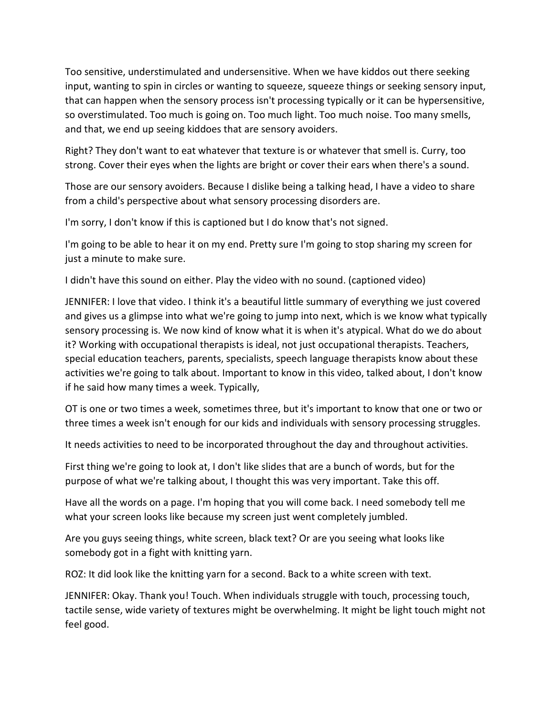Too sensitive, understimulated and undersensitive. When we have kiddos out there seeking input, wanting to spin in circles or wanting to squeeze, squeeze things or seeking sensory input, that can happen when the sensory process isn't processing typically or it can be hypersensitive, so overstimulated. Too much is going on. Too much light. Too much noise. Too many smells, and that, we end up seeing kiddoes that are sensory avoiders.

Right? They don't want to eat whatever that texture is or whatever that smell is. Curry, too strong. Cover their eyes when the lights are bright or cover their ears when there's a sound.

Those are our sensory avoiders. Because I dislike being a talking head, I have a video to share from a child's perspective about what sensory processing disorders are.

I'm sorry, I don't know if this is captioned but I do know that's not signed.

I'm going to be able to hear it on my end. Pretty sure I'm going to stop sharing my screen for just a minute to make sure.

I didn't have this sound on either. Play the video with no sound. (captioned video)

JENNIFER: I love that video. I think it's a beautiful little summary of everything we just covered and gives us a glimpse into what we're going to jump into next, which is we know what typically sensory processing is. We now kind of know what it is when it's atypical. What do we do about it? Working with occupational therapists is ideal, not just occupational therapists. Teachers, special education teachers, parents, specialists, speech language therapists know about these activities we're going to talk about. Important to know in this video, talked about, I don't know if he said how many times a week. Typically,

OT is one or two times a week, sometimes three, but it's important to know that one or two or three times a week isn't enough for our kids and individuals with sensory processing struggles.

It needs activities to need to be incorporated throughout the day and throughout activities.

First thing we're going to look at, I don't like slides that are a bunch of words, but for the purpose of what we're talking about, I thought this was very important. Take this off.

Have all the words on a page. I'm hoping that you will come back. I need somebody tell me what your screen looks like because my screen just went completely jumbled.

Are you guys seeing things, white screen, black text? Or are you seeing what looks like somebody got in a fight with knitting yarn.

ROZ: It did look like the knitting yarn for a second. Back to a white screen with text.

JENNIFER: Okay. Thank you! Touch. When individuals struggle with touch, processing touch, tactile sense, wide variety of textures might be overwhelming. It might be light touch might not feel good.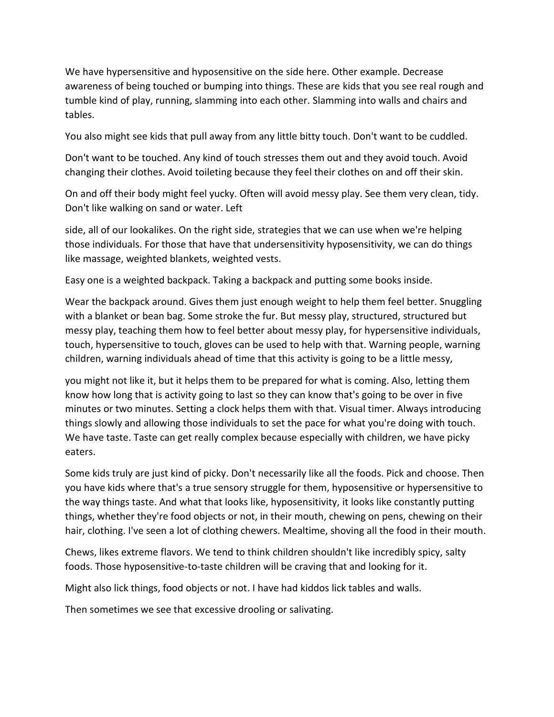We have hypersensitive and hyposensitive on the side here. Other example. Decrease awareness of being touched or bumping into things. These are kids that you see real rough and tumble kind of play, running, slamming into each other. Slamming into walls and chairs and tables.

You also might see kids that pull away from any little bitty touch. Don't want to be cuddled.

Don't want to be touched. Any kind of touch stresses them out and they avoid touch. Avoid changing their clothes. Avoid toileting because they feel their clothes on and off their skin.

On and off their body might feel yucky. Often will avoid messy play. See them very clean, tidy. Don't like walking on sand or water. Left

side, all of our lookalikes. On the right side, strategies that we can use when we're helping those individuals. For those that have that undersensitivity hyposensitivity, we can do things like massage, weighted blankets, weighted vests.

Easy one is a weighted backpack. Taking a backpack and putting some books inside.

Wear the backpack around. Gives them just enough weight to help them feel better. Snuggling with a blanket or bean bag. Some stroke the fur. But messy play, structured, structured but messy play, teaching them how to feel better about messy play, for hypersensitive individuals, touch, hypersensitive to touch, gloves can be used to help with that. Warning people, warning children, warning individuals ahead of time that this activity is going to be a little messy,

you might not like it, but it helps them to be prepared for what is coming. Also, letting them know how long that is activity going to last so they can know that's going to be over in five minutes or two minutes. Setting a clock helps them with that. Visual timer. Always introducing things slowly and allowing those individuals to set the pace for what you're doing with touch. We have taste. Taste can get really complex because especially with children, we have picky eaters.

Some kids truly are just kind of picky. Don't necessarily like all the foods. Pick and choose. Then you have kids where that's a true sensory struggle for them, hyposensitive or hypersensitive to the way things taste. And what that looks like, hyposensitivity, it looks like constantly putting things, whether they're food objects or not, in their mouth, chewing on pens, chewing on their hair, clothing. I've seen a lot of clothing chewers. Mealtime, shoving all the food in their mouth.

Chews, likes extreme flavors. We tend to think children shouldn't like incredibly spicy, salty foods. Those hyposensitive-to-taste children will be craving that and looking for it.

Might also lick things, food objects or not. I have had kiddos lick tables and walls.

Then sometimes we see that excessive drooling or salivating.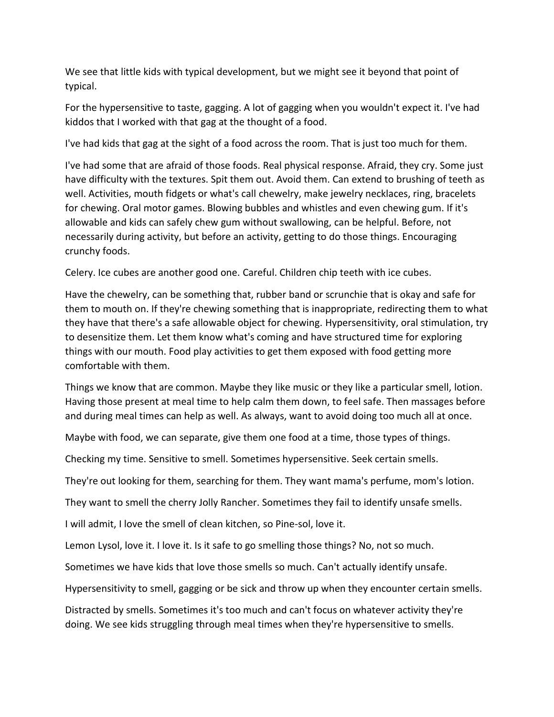We see that little kids with typical development, but we might see it beyond that point of typical.

For the hypersensitive to taste, gagging. A lot of gagging when you wouldn't expect it. I've had kiddos that I worked with that gag at the thought of a food.

I've had kids that gag at the sight of a food across the room. That is just too much for them.

I've had some that are afraid of those foods. Real physical response. Afraid, they cry. Some just have difficulty with the textures. Spit them out. Avoid them. Can extend to brushing of teeth as well. Activities, mouth fidgets or what's call chewelry, make jewelry necklaces, ring, bracelets for chewing. Oral motor games. Blowing bubbles and whistles and even chewing gum. If it's allowable and kids can safely chew gum without swallowing, can be helpful. Before, not necessarily during activity, but before an activity, getting to do those things. Encouraging crunchy foods.

Celery. Ice cubes are another good one. Careful. Children chip teeth with ice cubes.

Have the chewelry, can be something that, rubber band or scrunchie that is okay and safe for them to mouth on. If they're chewing something that is inappropriate, redirecting them to what they have that there's a safe allowable object for chewing. Hypersensitivity, oral stimulation, try to desensitize them. Let them know what's coming and have structured time for exploring things with our mouth. Food play activities to get them exposed with food getting more comfortable with them.

Things we know that are common. Maybe they like music or they like a particular smell, lotion. Having those present at meal time to help calm them down, to feel safe. Then massages before and during meal times can help as well. As always, want to avoid doing too much all at once.

Maybe with food, we can separate, give them one food at a time, those types of things.

Checking my time. Sensitive to smell. Sometimes hypersensitive. Seek certain smells.

They're out looking for them, searching for them. They want mama's perfume, mom's lotion.

They want to smell the cherry Jolly Rancher. Sometimes they fail to identify unsafe smells.

I will admit, I love the smell of clean kitchen, so Pine-sol, love it.

Lemon Lysol, love it. I love it. Is it safe to go smelling those things? No, not so much.

Sometimes we have kids that love those smells so much. Can't actually identify unsafe.

Hypersensitivity to smell, gagging or be sick and throw up when they encounter certain smells.

Distracted by smells. Sometimes it's too much and can't focus on whatever activity they're doing. We see kids struggling through meal times when they're hypersensitive to smells.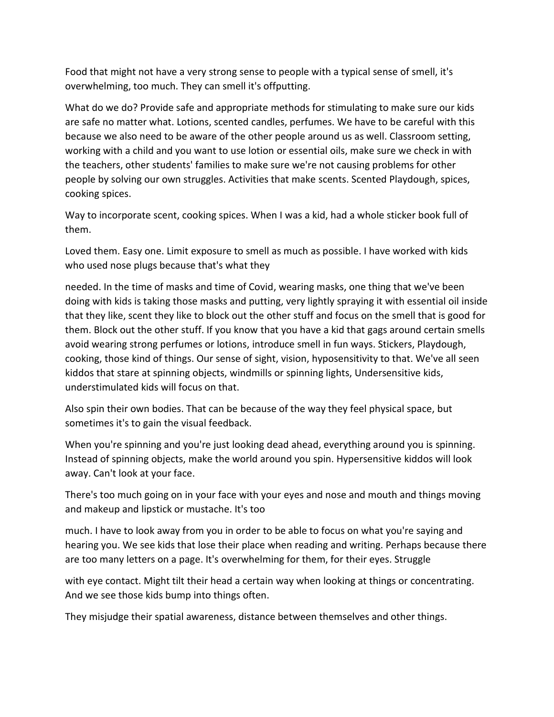Food that might not have a very strong sense to people with a typical sense of smell, it's overwhelming, too much. They can smell it's offputting.

What do we do? Provide safe and appropriate methods for stimulating to make sure our kids are safe no matter what. Lotions, scented candles, perfumes. We have to be careful with this because we also need to be aware of the other people around us as well. Classroom setting, working with a child and you want to use lotion or essential oils, make sure we check in with the teachers, other students' families to make sure we're not causing problems for other people by solving our own struggles. Activities that make scents. Scented Playdough, spices, cooking spices.

Way to incorporate scent, cooking spices. When I was a kid, had a whole sticker book full of them.

Loved them. Easy one. Limit exposure to smell as much as possible. I have worked with kids who used nose plugs because that's what they

needed. In the time of masks and time of Covid, wearing masks, one thing that we've been doing with kids is taking those masks and putting, very lightly spraying it with essential oil inside that they like, scent they like to block out the other stuff and focus on the smell that is good for them. Block out the other stuff. If you know that you have a kid that gags around certain smells avoid wearing strong perfumes or lotions, introduce smell in fun ways. Stickers, Playdough, cooking, those kind of things. Our sense of sight, vision, hyposensitivity to that. We've all seen kiddos that stare at spinning objects, windmills or spinning lights, Undersensitive kids, understimulated kids will focus on that.

Also spin their own bodies. That can be because of the way they feel physical space, but sometimes it's to gain the visual feedback.

When you're spinning and you're just looking dead ahead, everything around you is spinning. Instead of spinning objects, make the world around you spin. Hypersensitive kiddos will look away. Can't look at your face.

There's too much going on in your face with your eyes and nose and mouth and things moving and makeup and lipstick or mustache. It's too

much. I have to look away from you in order to be able to focus on what you're saying and hearing you. We see kids that lose their place when reading and writing. Perhaps because there are too many letters on a page. It's overwhelming for them, for their eyes. Struggle

with eye contact. Might tilt their head a certain way when looking at things or concentrating. And we see those kids bump into things often.

They misjudge their spatial awareness, distance between themselves and other things.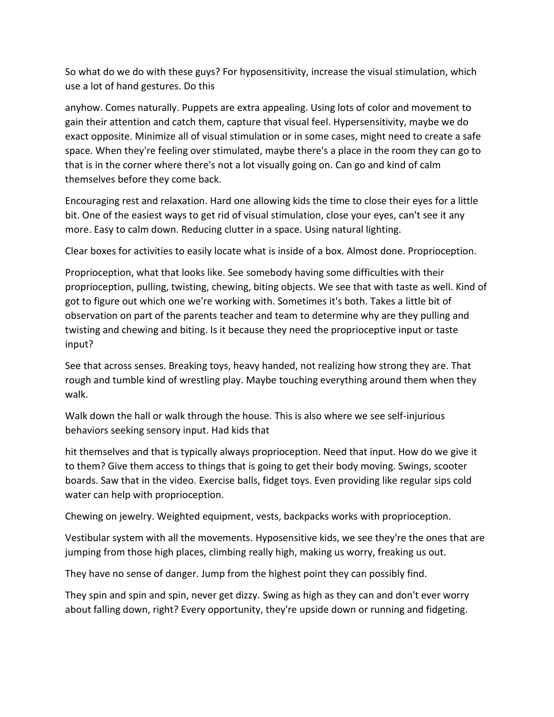So what do we do with these guys? For hyposensitivity, increase the visual stimulation, which use a lot of hand gestures. Do this

anyhow. Comes naturally. Puppets are extra appealing. Using lots of color and movement to gain their attention and catch them, capture that visual feel. Hypersensitivity, maybe we do exact opposite. Minimize all of visual stimulation or in some cases, might need to create a safe space. When they're feeling over stimulated, maybe there's a place in the room they can go to that is in the corner where there's not a lot visually going on. Can go and kind of calm themselves before they come back.

Encouraging rest and relaxation. Hard one allowing kids the time to close their eyes for a little bit. One of the easiest ways to get rid of visual stimulation, close your eyes, can't see it any more. Easy to calm down. Reducing clutter in a space. Using natural lighting.

Clear boxes for activities to easily locate what is inside of a box. Almost done. Proprioception.

Proprioception, what that looks like. See somebody having some difficulties with their proprioception, pulling, twisting, chewing, biting objects. We see that with taste as well. Kind of got to figure out which one we're working with. Sometimes it's both. Takes a little bit of observation on part of the parents teacher and team to determine why are they pulling and twisting and chewing and biting. Is it because they need the proprioceptive input or taste input?

See that across senses. Breaking toys, heavy handed, not realizing how strong they are. That rough and tumble kind of wrestling play. Maybe touching everything around them when they walk.

Walk down the hall or walk through the house. This is also where we see self-injurious behaviors seeking sensory input. Had kids that

hit themselves and that is typically always proprioception. Need that input. How do we give it to them? Give them access to things that is going to get their body moving. Swings, scooter boards. Saw that in the video. Exercise balls, fidget toys. Even providing like regular sips cold water can help with proprioception.

Chewing on jewelry. Weighted equipment, vests, backpacks works with proprioception.

Vestibular system with all the movements. Hyposensitive kids, we see they're the ones that are jumping from those high places, climbing really high, making us worry, freaking us out.

They have no sense of danger. Jump from the highest point they can possibly find.

They spin and spin and spin, never get dizzy. Swing as high as they can and don't ever worry about falling down, right? Every opportunity, they're upside down or running and fidgeting.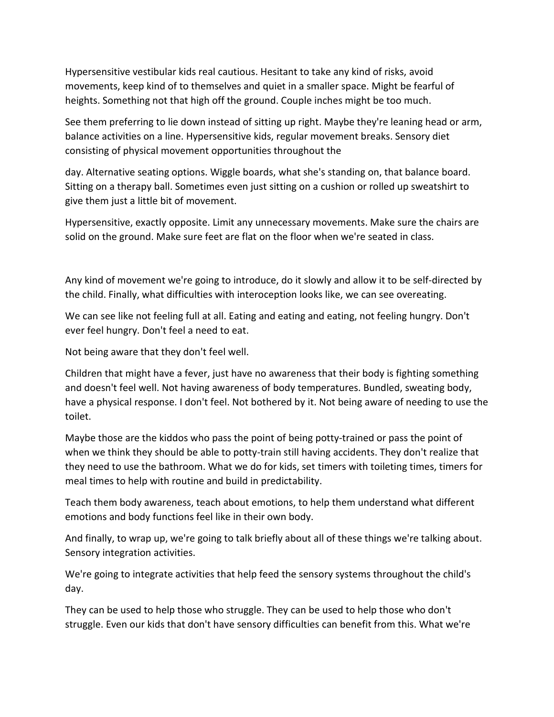Hypersensitive vestibular kids real cautious. Hesitant to take any kind of risks, avoid movements, keep kind of to themselves and quiet in a smaller space. Might be fearful of heights. Something not that high off the ground. Couple inches might be too much.

See them preferring to lie down instead of sitting up right. Maybe they're leaning head or arm, balance activities on a line. Hypersensitive kids, regular movement breaks. Sensory diet consisting of physical movement opportunities throughout the

day. Alternative seating options. Wiggle boards, what she's standing on, that balance board. Sitting on a therapy ball. Sometimes even just sitting on a cushion or rolled up sweatshirt to give them just a little bit of movement.

Hypersensitive, exactly opposite. Limit any unnecessary movements. Make sure the chairs are solid on the ground. Make sure feet are flat on the floor when we're seated in class.

Any kind of movement we're going to introduce, do it slowly and allow it to be self-directed by the child. Finally, what difficulties with interoception looks like, we can see overeating.

We can see like not feeling full at all. Eating and eating and eating, not feeling hungry. Don't ever feel hungry. Don't feel a need to eat.

Not being aware that they don't feel well.

Children that might have a fever, just have no awareness that their body is fighting something and doesn't feel well. Not having awareness of body temperatures. Bundled, sweating body, have a physical response. I don't feel. Not bothered by it. Not being aware of needing to use the toilet.

Maybe those are the kiddos who pass the point of being potty-trained or pass the point of when we think they should be able to potty-train still having accidents. They don't realize that they need to use the bathroom. What we do for kids, set timers with toileting times, timers for meal times to help with routine and build in predictability.

Teach them body awareness, teach about emotions, to help them understand what different emotions and body functions feel like in their own body.

And finally, to wrap up, we're going to talk briefly about all of these things we're talking about. Sensory integration activities.

We're going to integrate activities that help feed the sensory systems throughout the child's day.

They can be used to help those who struggle. They can be used to help those who don't struggle. Even our kids that don't have sensory difficulties can benefit from this. What we're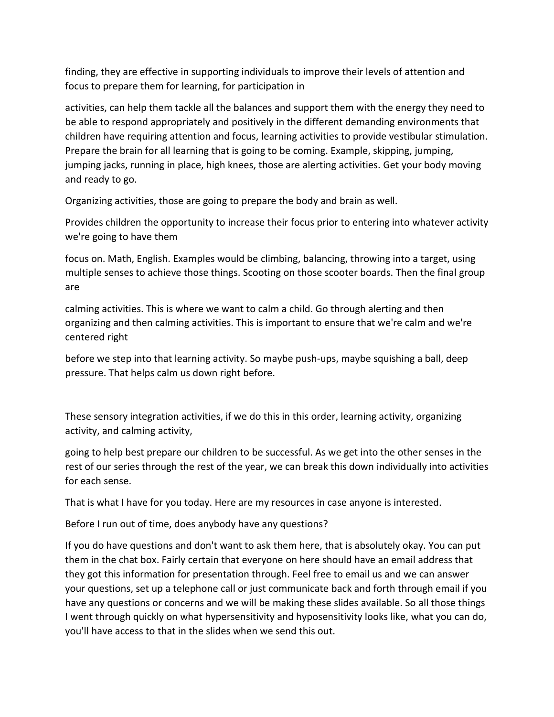finding, they are effective in supporting individuals to improve their levels of attention and focus to prepare them for learning, for participation in

activities, can help them tackle all the balances and support them with the energy they need to be able to respond appropriately and positively in the different demanding environments that children have requiring attention and focus, learning activities to provide vestibular stimulation. Prepare the brain for all learning that is going to be coming. Example, skipping, jumping, jumping jacks, running in place, high knees, those are alerting activities. Get your body moving and ready to go.

Organizing activities, those are going to prepare the body and brain as well.

Provides children the opportunity to increase their focus prior to entering into whatever activity we're going to have them

focus on. Math, English. Examples would be climbing, balancing, throwing into a target, using multiple senses to achieve those things. Scooting on those scooter boards. Then the final group are

calming activities. This is where we want to calm a child. Go through alerting and then organizing and then calming activities. This is important to ensure that we're calm and we're centered right

before we step into that learning activity. So maybe push-ups, maybe squishing a ball, deep pressure. That helps calm us down right before.

These sensory integration activities, if we do this in this order, learning activity, organizing activity, and calming activity,

going to help best prepare our children to be successful. As we get into the other senses in the rest of our series through the rest of the year, we can break this down individually into activities for each sense.

That is what I have for you today. Here are my resources in case anyone is interested.

Before I run out of time, does anybody have any questions?

If you do have questions and don't want to ask them here, that is absolutely okay. You can put them in the chat box. Fairly certain that everyone on here should have an email address that they got this information for presentation through. Feel free to email us and we can answer your questions, set up a telephone call or just communicate back and forth through email if you have any questions or concerns and we will be making these slides available. So all those things I went through quickly on what hypersensitivity and hyposensitivity looks like, what you can do, you'll have access to that in the slides when we send this out.